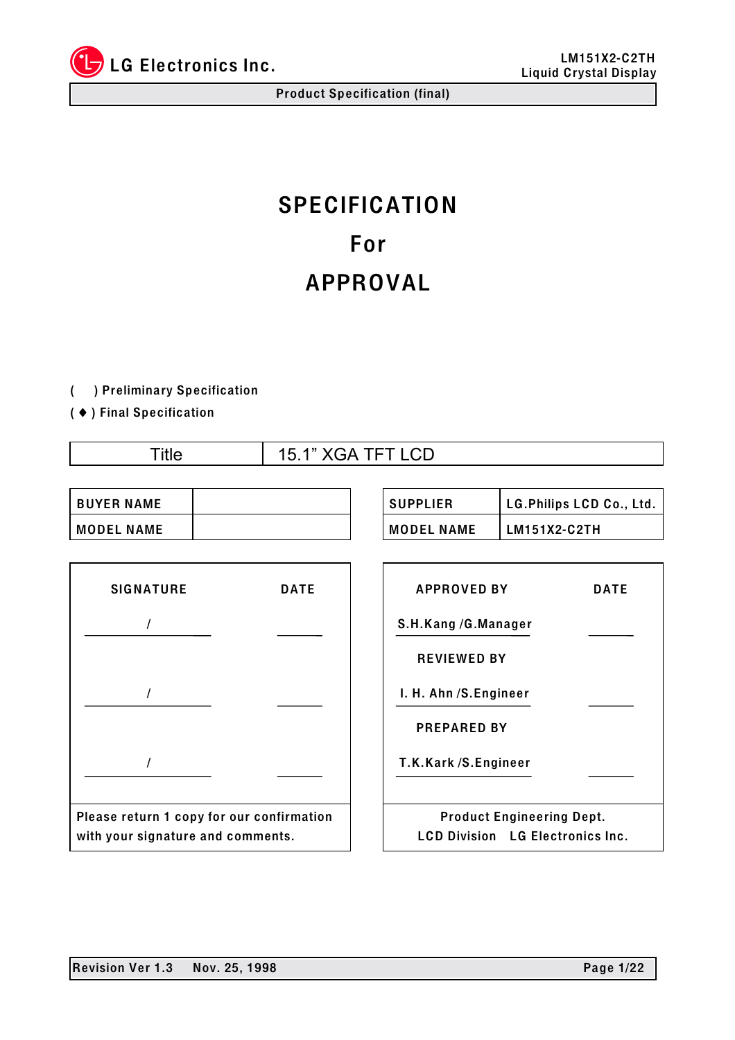

# **SPECIFICATION** For APPROVAL

( ) Preliminary Specification

### ( ♦ ) Final Specification

| nue | TTTLOD<br>$\overline{ }$<br>. L<br>. v.<br>ッレ<br>$\sim$ $\sim$ $\sim$ $\sim$ $\sim$ |
|-----|-------------------------------------------------------------------------------------|
|     |                                                                                     |

| <b>BUYER NAME</b>                                                              |             | <b>SUPPLIER</b>        | LG.Philips LCD Co., Ltd.                                                    |
|--------------------------------------------------------------------------------|-------------|------------------------|-----------------------------------------------------------------------------|
| <b>MODEL NAME</b>                                                              |             | <b>MODEL NAME</b>      | LM151X2-C2TH                                                                |
|                                                                                |             |                        |                                                                             |
| <b>SIGNATURE</b>                                                               | <b>DATE</b> | <b>APPROVED BY</b>     | <b>DATE</b>                                                                 |
|                                                                                |             | S.H.Kang/G.Manager     |                                                                             |
|                                                                                |             | <b>REVIEWED BY</b>     |                                                                             |
|                                                                                |             | I. H. Ahn /S. Engineer |                                                                             |
|                                                                                |             | <b>PREPARED BY</b>     |                                                                             |
|                                                                                |             | T.K.Kark/S.Engineer    |                                                                             |
| Please return 1 copy for our confirmation<br>with your signature and comments. |             |                        | <b>Product Engineering Dept.</b><br><b>LCD Division LG Electronics Inc.</b> |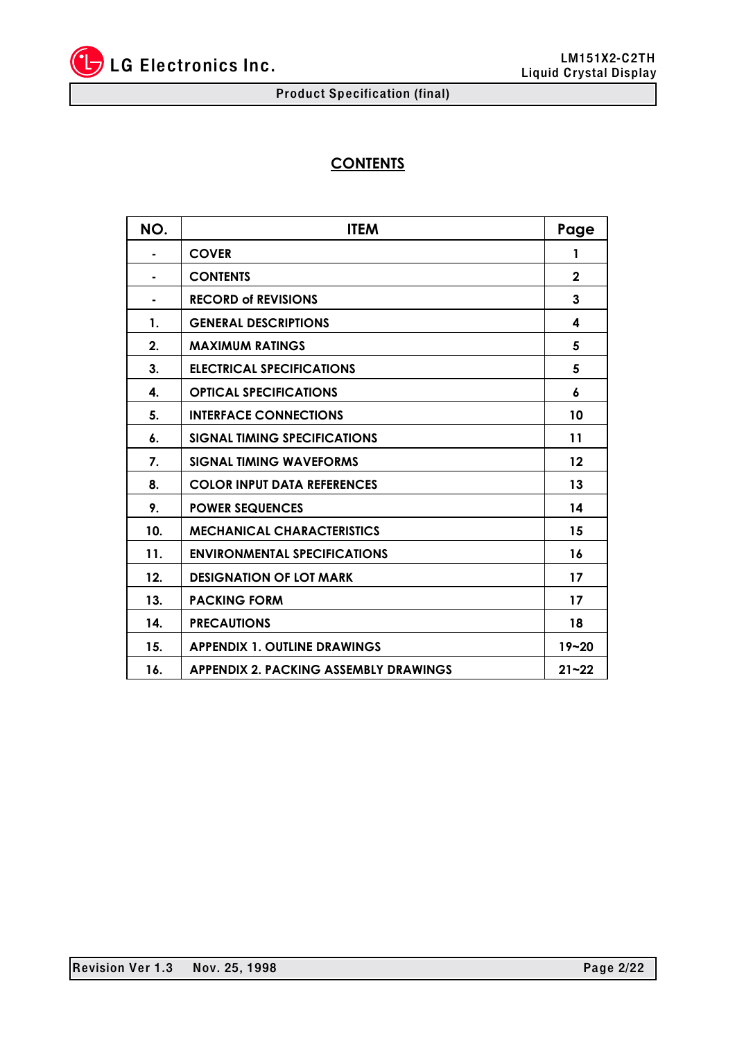

### **CONTENTS**

| NO. | <b>ITEM</b>                                  | Page         |
|-----|----------------------------------------------|--------------|
|     | <b>COVER</b>                                 | 1            |
|     | <b>CONTENTS</b>                              | $\mathbf{2}$ |
|     | <b>RECORD of REVISIONS</b>                   | 3            |
| 1.  | <b>GENERAL DESCRIPTIONS</b>                  | 4            |
| 2.  | <b>MAXIMUM RATINGS</b>                       | 5            |
| 3.  | <b>ELECTRICAL SPECIFICATIONS</b>             | 5            |
| 4.  | <b>OPTICAL SPECIFICATIONS</b>                | 6            |
| 5.  | <b>INTERFACE CONNECTIONS</b>                 | 10           |
| 6.  | <b>SIGNAL TIMING SPECIFICATIONS</b>          | 11           |
| 7.  | <b>SIGNAL TIMING WAVEFORMS</b>               | 12           |
| 8.  | <b>COLOR INPUT DATA REFERENCES</b>           | 13           |
| 9.  | <b>POWER SEQUENCES</b>                       | 14           |
| 10. | <b>MECHANICAL CHARACTERISTICS</b>            | 15           |
| 11. | <b>ENVIRONMENTAL SPECIFICATIONS</b>          | 16           |
| 12. | <b>DESIGNATION OF LOT MARK</b>               | 17           |
| 13. | <b>PACKING FORM</b>                          | 17           |
| 14. | <b>PRECAUTIONS</b>                           | 18           |
| 15. | <b>APPENDIX 1. OUTLINE DRAWINGS</b>          | $19 - 20$    |
| 16. | <b>APPENDIX 2. PACKING ASSEMBLY DRAWINGS</b> | $21 - 22$    |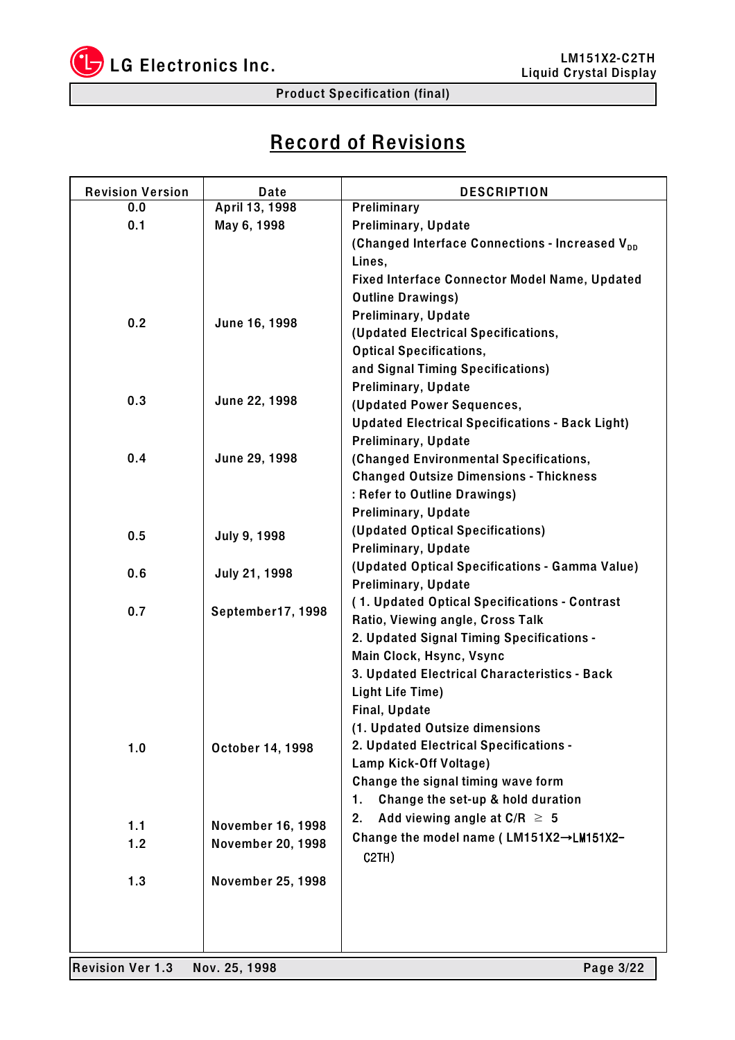

## Record of Revisions

| <b>Revision Version</b> | Date                     | <b>DESCRIPTION</b>                                         |  |  |
|-------------------------|--------------------------|------------------------------------------------------------|--|--|
| 0.0                     | April 13, 1998           | Preliminary                                                |  |  |
| 0.1                     | May 6, 1998              | <b>Preliminary, Update</b>                                 |  |  |
|                         |                          | (Changed Interface Connections - Increased V <sub>DD</sub> |  |  |
|                         |                          | Lines,                                                     |  |  |
|                         |                          | <b>Fixed Interface Connector Model Name, Updated</b>       |  |  |
|                         |                          | <b>Outline Drawings)</b>                                   |  |  |
| 0.2                     | June 16, 1998            | <b>Preliminary, Update</b>                                 |  |  |
|                         |                          | (Updated Electrical Specifications,                        |  |  |
|                         |                          | <b>Optical Specifications,</b>                             |  |  |
|                         |                          | and Signal Timing Specifications)                          |  |  |
|                         |                          | <b>Preliminary, Update</b>                                 |  |  |
| 0.3                     | June 22, 1998            | (Updated Power Sequences,                                  |  |  |
|                         |                          | <b>Updated Electrical Specifications - Back Light)</b>     |  |  |
|                         |                          | <b>Preliminary, Update</b>                                 |  |  |
| 0.4                     | June 29, 1998            | (Changed Environmental Specifications,                     |  |  |
|                         |                          | <b>Changed Outsize Dimensions - Thickness</b>              |  |  |
|                         |                          | : Refer to Outline Drawings)                               |  |  |
|                         |                          | <b>Preliminary, Update</b>                                 |  |  |
| 0.5                     | July 9, 1998             | (Updated Optical Specifications)                           |  |  |
|                         |                          | <b>Preliminary, Update</b>                                 |  |  |
| 0.6                     | July 21, 1998            | (Updated Optical Specifications - Gamma Value)             |  |  |
|                         |                          | <b>Preliminary, Update</b>                                 |  |  |
| 0.7                     | September17, 1998        | (1. Updated Optical Specifications - Contrast              |  |  |
|                         |                          | Ratio, Viewing angle, Cross Talk                           |  |  |
|                         |                          | 2. Updated Signal Timing Specifications -                  |  |  |
|                         |                          | Main Clock, Hsync, Vsync                                   |  |  |
|                         |                          | 3. Updated Electrical Characteristics - Back               |  |  |
|                         |                          | Light Life Time)                                           |  |  |
|                         |                          | Final, Update                                              |  |  |
|                         |                          | (1. Updated Outsize dimensions                             |  |  |
| 1.0                     | October 14, 1998         | 2. Updated Electrical Specifications -                     |  |  |
|                         |                          | Lamp Kick-Off Voltage)                                     |  |  |
|                         |                          | Change the signal timing wave form                         |  |  |
|                         |                          | Change the set-up & hold duration<br>1.                    |  |  |
| 1.1                     | <b>November 16, 1998</b> | 2.<br>Add viewing angle at $C/R \geq 5$                    |  |  |
| 1.2                     | <b>November 20, 1998</b> | Change the model name (LM151X2→LM151X2-                    |  |  |
|                         |                          | C2TH)                                                      |  |  |
| 1.3                     | November 25, 1998        |                                                            |  |  |
|                         |                          |                                                            |  |  |
|                         |                          |                                                            |  |  |
|                         |                          |                                                            |  |  |
|                         |                          |                                                            |  |  |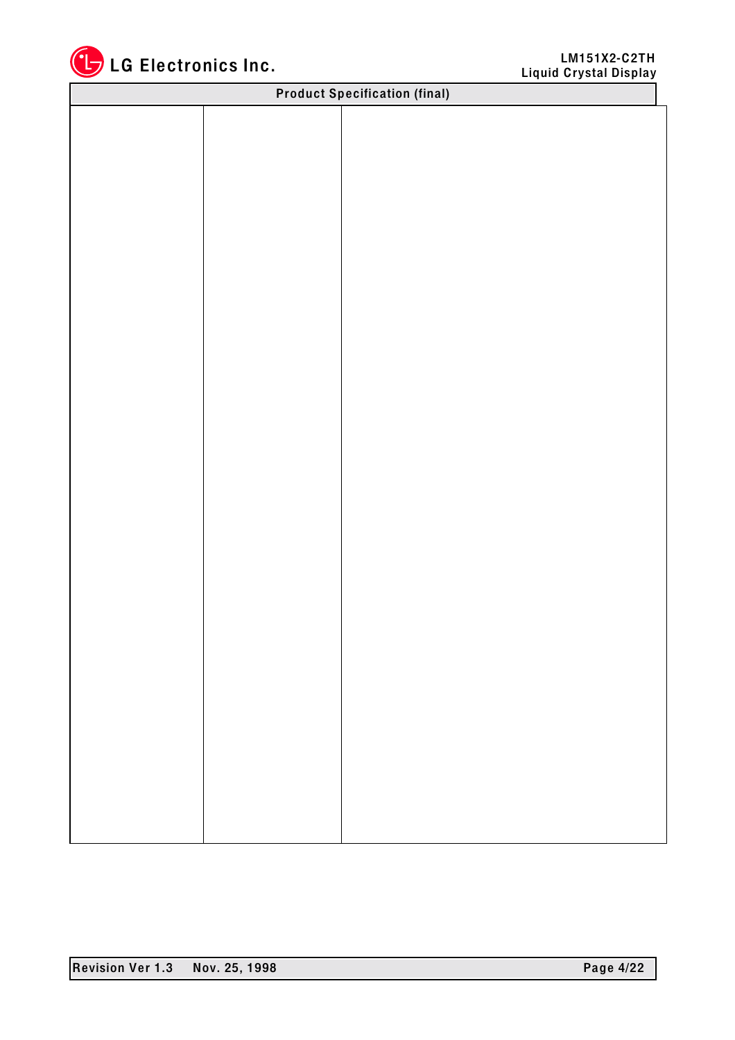

| <b>Product Specification (final)</b> |  |  |  |  |  |
|--------------------------------------|--|--|--|--|--|
|                                      |  |  |  |  |  |
|                                      |  |  |  |  |  |
|                                      |  |  |  |  |  |
|                                      |  |  |  |  |  |
|                                      |  |  |  |  |  |
|                                      |  |  |  |  |  |
|                                      |  |  |  |  |  |
|                                      |  |  |  |  |  |
|                                      |  |  |  |  |  |
|                                      |  |  |  |  |  |
|                                      |  |  |  |  |  |
|                                      |  |  |  |  |  |
|                                      |  |  |  |  |  |
|                                      |  |  |  |  |  |
|                                      |  |  |  |  |  |
|                                      |  |  |  |  |  |
|                                      |  |  |  |  |  |
|                                      |  |  |  |  |  |
|                                      |  |  |  |  |  |
|                                      |  |  |  |  |  |
|                                      |  |  |  |  |  |
|                                      |  |  |  |  |  |
|                                      |  |  |  |  |  |
|                                      |  |  |  |  |  |
|                                      |  |  |  |  |  |
|                                      |  |  |  |  |  |
|                                      |  |  |  |  |  |
|                                      |  |  |  |  |  |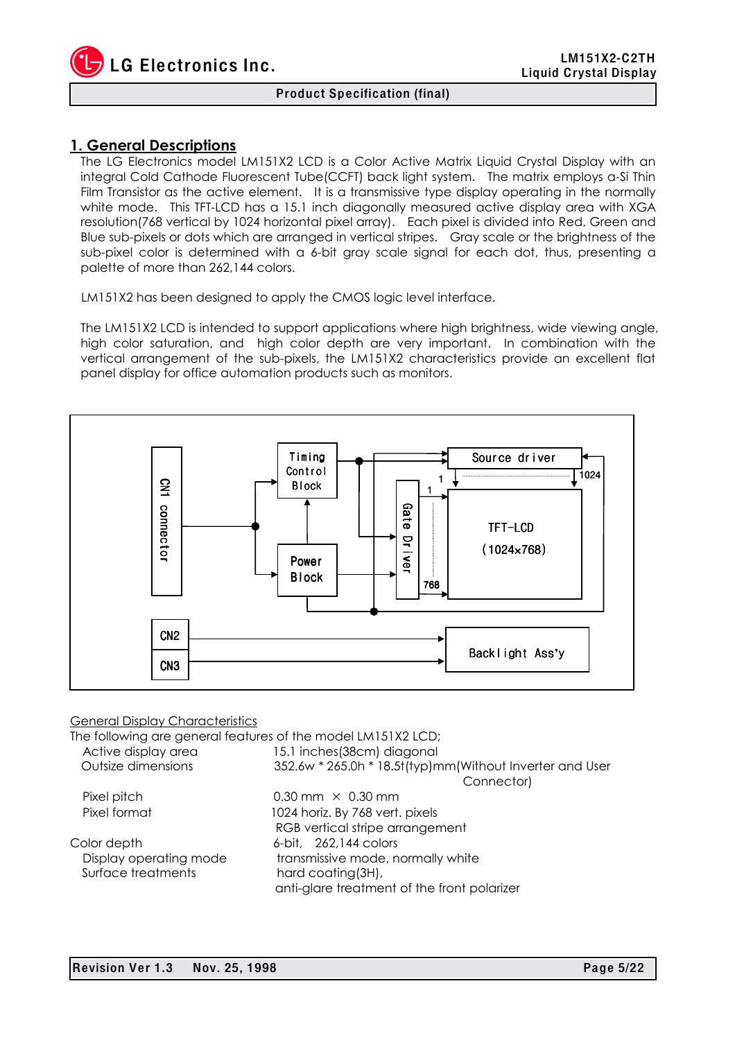

### **1. General Descriptions**

The LG Electronics model LM151X2 LCD is a Color Active Matrix Liquid Crystal Display with an integral Cold Cathode Fluorescent Tube(CCFT) back light system. The matrix employs a-Si Thin Film Transistor as the active element. It is a transmissive type display operating in the normally white mode. This TFT-LCD has a 15.1 inch diagonally measured active display area with XGA resolution(768 vertical by 1024 horizontal pixel array). Each pixel is divided into Red, Green and Blue sub-pixels or dots which are arranged in vertical stripes. Gray scale or the brightness of the sub-pixel color is determined with a 6-bit gray scale signal for each dot, thus, presenting a palette of more than 262,144 colors.

LM151X2 has been designed to apply the CMOS logic level interface.

The LM151X2 LCD is intended to support applications where high brightness, wide viewing angle, high color saturation, and high color depth are very important. In combination with the vertical arrangement of the sub-pixels, the LM151X2 characteristics provide an excellent flat panel display for office automation products such as monitors.



#### General Display Characteristics

The following are general features of the model LM151X2 LCD;

| Active display area    | 15.1 inches(38cm) diagonal                                             |
|------------------------|------------------------------------------------------------------------|
| Outsize dimensions     | 352.6w * 265.0h * 18.5t(typ)mm(Without Inverter and User<br>Connector) |
| Pixel pitch            | $0.30$ mm $\times$ 0.30 mm                                             |
| Pixel format           | 1024 horiz. By 768 vert. pixels                                        |
|                        | RGB vertical stripe arrangement                                        |
| Color depth            | 6-bit, 262,144 colors                                                  |
| Display operating mode | transmissive mode, normally white                                      |
| Surface treatments     | hard coating(3H),                                                      |
|                        | anti-glare treatment of the front polarizer                            |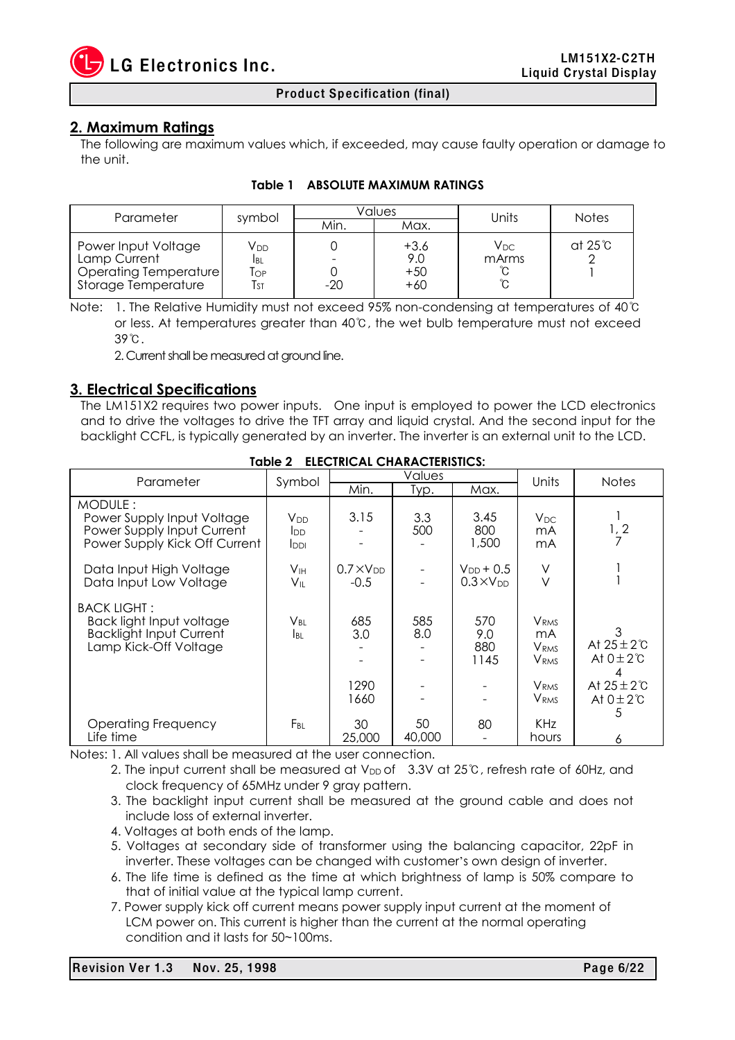

#### **2. Maximum Ratings**

The following are maximum values which, if exceeded, may cause faulty operation or damage to the unit.

| Parameter                                                    | symbol                                           |       | Values               | Units        | <b>Notes</b>    |
|--------------------------------------------------------------|--------------------------------------------------|-------|----------------------|--------------|-----------------|
|                                                              |                                                  | Min.  | Max.                 |              |                 |
| Power Input Voltage<br>Lamp Current<br>Operating Temperature | Vpd<br><b>I</b> BL<br>$\mathsf{T}_{\mathsf{OP}}$ |       | +3.6<br>9.0<br>$+50$ | Vpc<br>mArms | at $25^\circ$ C |
| Storage Temperature                                          | l st                                             | $-20$ | +60                  |              |                 |

#### **Table 1 ABSOLUTE MAXIMUM RATINGS**

Note: 1. The Relative Humidity must not exceed 95% non-condensing at temperatures of 40℃ or less. At temperatures greater than 40℃, the wet bulb temperature must not exceed 39℃.

2. Current shall be measured at ground line.

#### **3. Electrical Specifications**

The LM151X2 requires two power inputs. One input is employed to power the LCD electronics and to drive the voltages to drive the TFT array and liquid crystal. And the second input for the backlight CCFL, is typically generated by an inverter. The inverter is an external unit to the LCD.

| Parameter                      | Symbol                     | Values              |        |                       | Units                   | <b>Notes</b>            |
|--------------------------------|----------------------------|---------------------|--------|-----------------------|-------------------------|-------------------------|
|                                |                            | Min.                | Typ.   | Max.                  |                         |                         |
| MODULE:                        |                            |                     |        |                       |                         |                         |
| Power Supply Input Voltage     | <b>V</b> <sub>DD</sub>     | 3.15                | 3.3    | 3.45                  | $V_{DC}$                |                         |
| Power Supply Input Current     | loo.                       |                     | 500    | 800                   | m <sub>A</sub>          | 1, 2                    |
| Power Supply Kick Off Current  | <b>IDDI</b>                |                     |        | 1,500                 | mA                      |                         |
| Data Input High Voltage        | V <sub>IH</sub>            | $0.7 \times V_{DD}$ |        | $V_{\text{DD}} + 0.5$ | V                       |                         |
| Data Input Low Voltage         | $V_{IL}$                   | $-0.5$              |        | $0.3 \times V_{DD}$   | $\vee$                  |                         |
| <b>BACK LIGHT:</b>             |                            |                     |        |                       |                         |                         |
| Back light Input voltage       | $\mathsf{V}_{\mathsf{BL}}$ | 685                 | 585    | 570                   | <b>V</b> <sub>RMS</sub> |                         |
| <b>Backlight Input Current</b> | <b>BL</b>                  | 3.0                 | 8.0    | 9.0                   | mA                      | 3                       |
| Lamp Kick-Off Voltage          |                            |                     |        | 880                   | V <sub>RMS</sub>        | At $25 \pm 2^{\circ}$ C |
|                                |                            |                     |        | 1145                  | <b>V</b> <sub>RMS</sub> | At $0 \pm 2^{\circ}$ C  |
|                                |                            |                     |        |                       |                         | 4                       |
|                                |                            | 1290                |        |                       | <b>V</b> <sub>RMS</sub> | At $25 \pm 2^{\circ}$ C |
|                                |                            | 1660                |        |                       | <b>V</b> <sub>RMS</sub> | At $0 \pm 2^{\circ}$ C  |
|                                |                            |                     |        |                       |                         | 5                       |
| <b>Operating Frequency</b>     | F <sub>BL</sub>            | 30                  | 50     | 80                    | KHz                     |                         |
| Life time                      |                            | 25,000              | 40,000 |                       | hours                   | 6                       |

#### **Table 2 ELECTRICAL CHARACTERISTICS:**

Notes: 1. All values shall be measured at the user connection.

- 2. The input current shall be measured at  $V_{DD}$  of 3.3V at 25°C, refresh rate of 60Hz, and clock frequency of 65MHz under 9 gray pattern.
- 3. The backlight input current shall be measured at the ground cable and does not include loss of external inverter.
- 4. Voltages at both ends of the lamp.
- 5. Voltages at secondary side of transformer using the balancing capacitor, 22pF in inverter. These voltages can be changed with customer's own design of inverter.
- 6. The life time is defined as the time at which brightness of lamp is 50% compare to that of initial value at the typical lamp current.
- 7. Power supply kick off current means power supply input current at the moment of LCM power on. This current is higher than the current at the normal operating condition and it lasts for 50~100ms.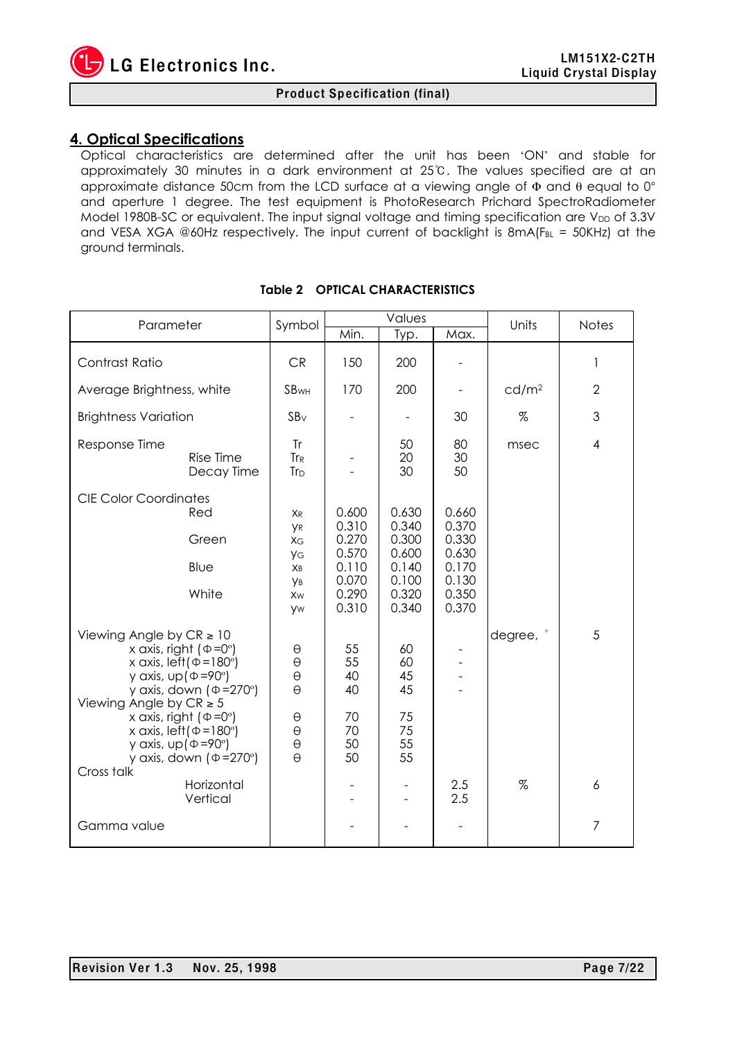

### **4. Optical Specifications**

Optical characteristics are determined after the unit has been 'ON' and stable for approximately 30 minutes in a dark environment at 25℃. The values specified are at an approximate distance 50cm from the LCD surface at a viewing angle of Φ and θ equal to 0° and aperture 1 degree. The test equipment is PhotoResearch Prichard SpectroRadiometer Model 1980B-SC or equivalent. The input signal voltage and timing specification are  $V_{DD}$  of 3.3V and VESA XGA @60Hz respectively. The input current of backlight is  $8mA(F_{BL} = 50KHz)$  at the ground terminals.

| Parameter                                                                                                                           |                                                                                                                                                                                                                                  | Symbol                                                                                |                                                                      | Values                                                               |                                                                      | Units             | Notes                    |
|-------------------------------------------------------------------------------------------------------------------------------------|----------------------------------------------------------------------------------------------------------------------------------------------------------------------------------------------------------------------------------|---------------------------------------------------------------------------------------|----------------------------------------------------------------------|----------------------------------------------------------------------|----------------------------------------------------------------------|-------------------|--------------------------|
|                                                                                                                                     |                                                                                                                                                                                                                                  |                                                                                       | Min.                                                                 | Typ.                                                                 | Max.                                                                 |                   |                          |
| Contrast Ratio                                                                                                                      |                                                                                                                                                                                                                                  | <b>CR</b>                                                                             | 150                                                                  | 200                                                                  |                                                                      |                   | 1                        |
| Average Brightness, white                                                                                                           |                                                                                                                                                                                                                                  | <b>SB</b> <sub>WH</sub>                                                               | 170                                                                  | 200                                                                  |                                                                      | cd/m <sup>2</sup> | $\overline{2}$           |
| <b>Brightness Variation</b>                                                                                                         |                                                                                                                                                                                                                                  | SBv                                                                                   |                                                                      |                                                                      | 30                                                                   | $\%$              | 3                        |
| Response Time                                                                                                                       | Rise Time<br>Decay Time                                                                                                                                                                                                          | Tr<br>Tr <sub>R</sub><br>Tr <sub>D</sub>                                              |                                                                      | 50<br>20<br>30                                                       | 80<br>30<br>50                                                       | msec              | $\overline{\mathcal{A}}$ |
| <b>CIE Color Coordinates</b>                                                                                                        | Red<br>Green<br>Blue<br>White                                                                                                                                                                                                    | <b>XR</b><br><b>YR</b><br>XG<br><b>YG</b><br>X <sub>B</sub><br>УB<br>Xw<br><b>yw</b>  | 0.600<br>0.310<br>0.270<br>0.570<br>0.110<br>0.070<br>0.290<br>0.310 | 0.630<br>0.340<br>0.300<br>0.600<br>0.140<br>0.100<br>0.320<br>0.340 | 0.660<br>0.370<br>0.330<br>0.630<br>0.170<br>0.130<br>0.350<br>0.370 |                   |                          |
| Viewing Angle by $CR \ge 10$<br>y axis, $up(Φ = 90°)$<br>Viewing Angle by $CR \ge 5$<br>y axis, $up(\Phi = 90^\circ)$<br>Cross talk | x axis, right $(\Phi = 0^\circ)$<br>x axis, $left( \phi = 180^\circ \right)$<br>y axis, down $(\Phi = 270^\circ)$<br>x axis, right $(\Phi = 0^\circ)$<br>x axis, left ( $\phi$ = 180 <sup>o</sup> )<br>y axis, down $(Φ = 270°)$ | θ<br>$\Theta$<br>$\Theta$<br>$\Theta$<br>$\Theta$<br>$\Theta$<br>$\Theta$<br>$\Theta$ | 55<br>55<br>40<br>40<br>70<br>70<br>50<br>50                         | 60<br>60<br>45<br>45<br>75<br>75<br>55<br>55                         |                                                                      | degree,           | 5                        |
|                                                                                                                                     | Horizontal<br>Vertical                                                                                                                                                                                                           |                                                                                       | $\overline{\phantom{a}}$                                             |                                                                      | 2.5<br>2.5                                                           | $\%$              | 6                        |
| Gamma value                                                                                                                         |                                                                                                                                                                                                                                  |                                                                                       |                                                                      |                                                                      |                                                                      |                   | $\overline{7}$           |

#### **Table 2 OPTICAL CHARACTERISTICS**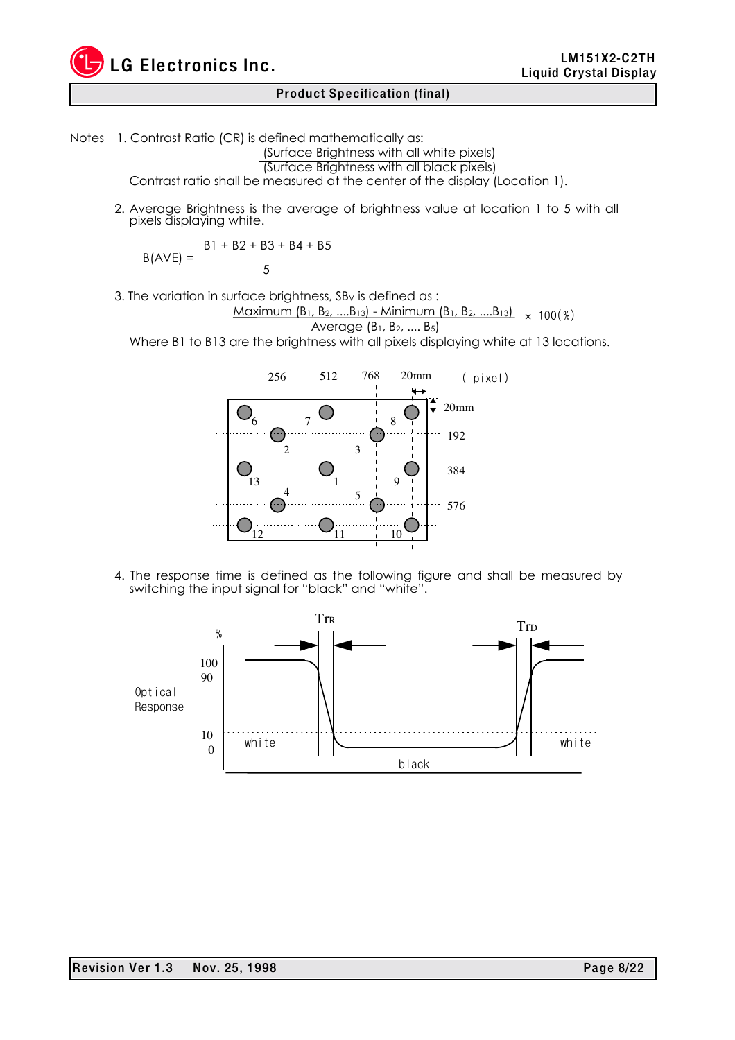

Notes 1. Contrast Ratio (CR) is defined mathematically as:

(Surface Brightness with all white pixels)

(Surface Brightness with all black pixels)

Contrast ratio shall be measured at the center of the display (Location 1).

2. Average Brightness is the average of brightness value at location 1 to 5 with all pixels displaying white.

$$
B(AVE) = \frac{B1 + B2 + B3 + B4 + B5}{5}
$$

3. The variation in surface brightness, SB<sub>v</sub> is defined as :

$$
\frac{\text{Maximum (B1, B2, .... B13)} - \text{Minimum (B1, B2, .... B13)}}{2}
$$
 × 100%

Average 
$$
(B_1, B_2, \ldots, B_5)
$$

Where B1 to B13 are the brightness with all pixels displaying white at 13 locations.



4. The response time is defined as the following figure and shall be measured by switching the input signal for "black" and "white".

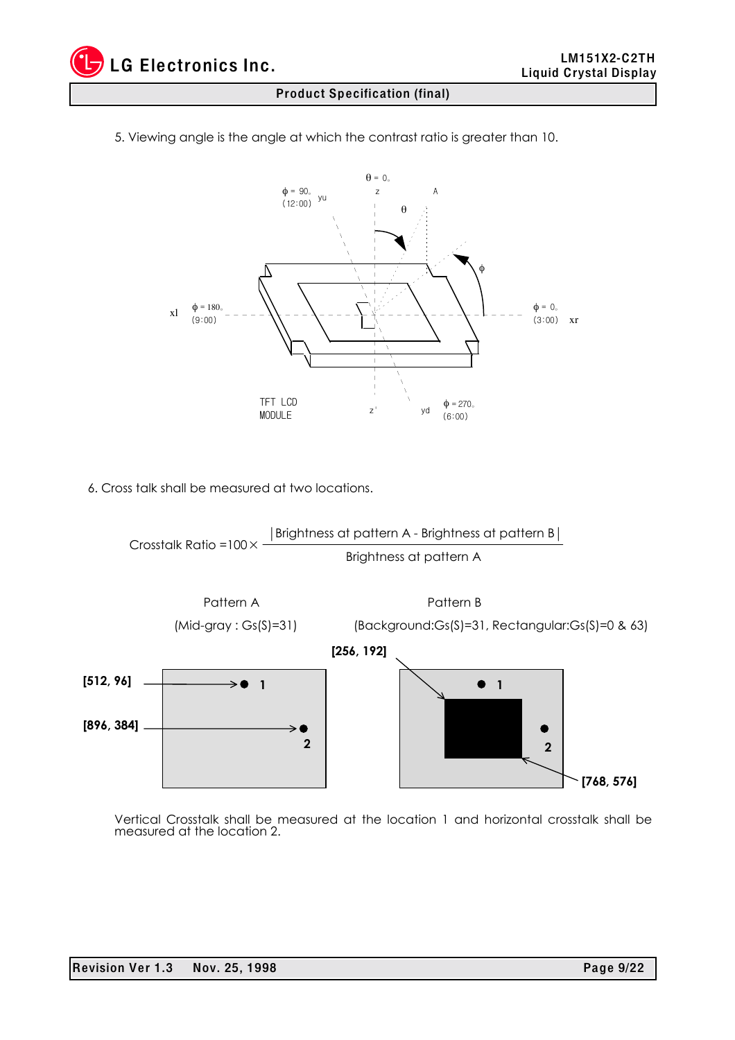



5. Viewing angle is the angle at which the contrast ratio is greater than 10.

6. Cross talk shall be measured at two locations.



Vertical Crosstalk shall be measured at the location 1 and horizontal crosstalk shall be measured at the location 2.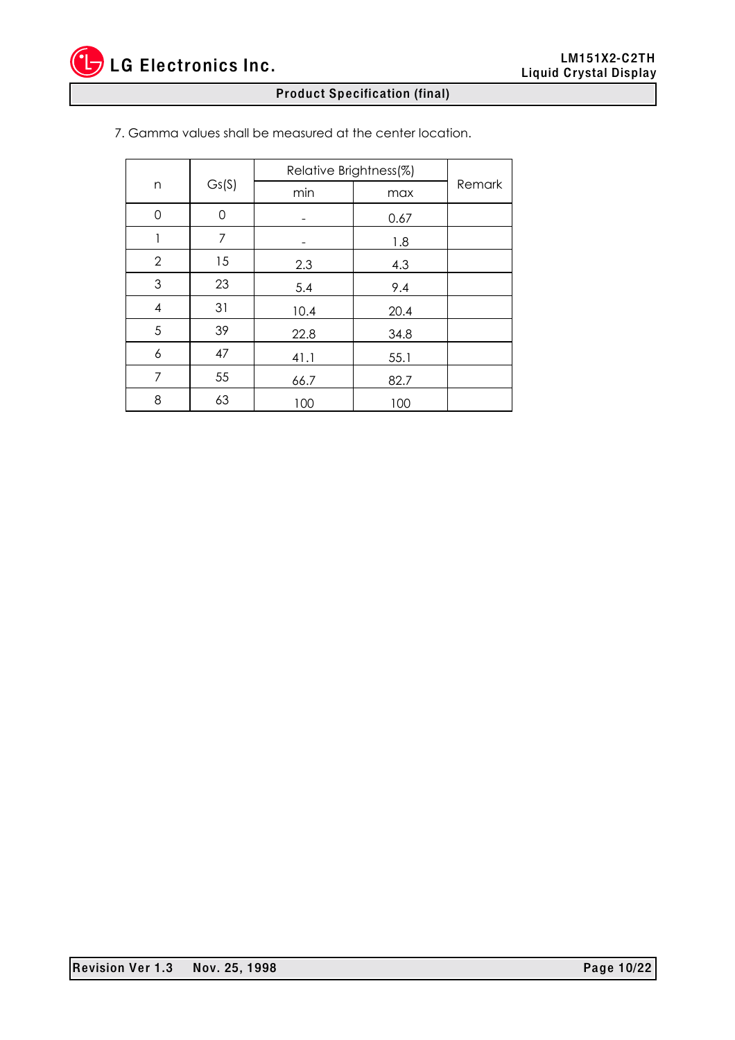|        |      | Relative Brightness(%) |       |                |
|--------|------|------------------------|-------|----------------|
| Remark | max  | min                    | Gs(S) | n              |
|        | 0.67 |                        | 0     | $\Omega$       |
|        | 1.8  |                        | 7     | 1              |
|        | 4.3  | 2.3                    | 15    | $\overline{2}$ |
|        | 9.4  | 5.4                    | 23    | $\mathfrak{S}$ |
|        | 20.4 | 10.4                   | 31    | 4              |
|        | 34.8 | 22.8                   | 39    | 5              |
|        | 55.1 | 41.1                   | 47    | 6              |
|        | 82.7 | 66.7                   | 55    | 7              |
|        | 100  | 100                    | 63    | 8              |

7. Gamma values shall be measured at the center location.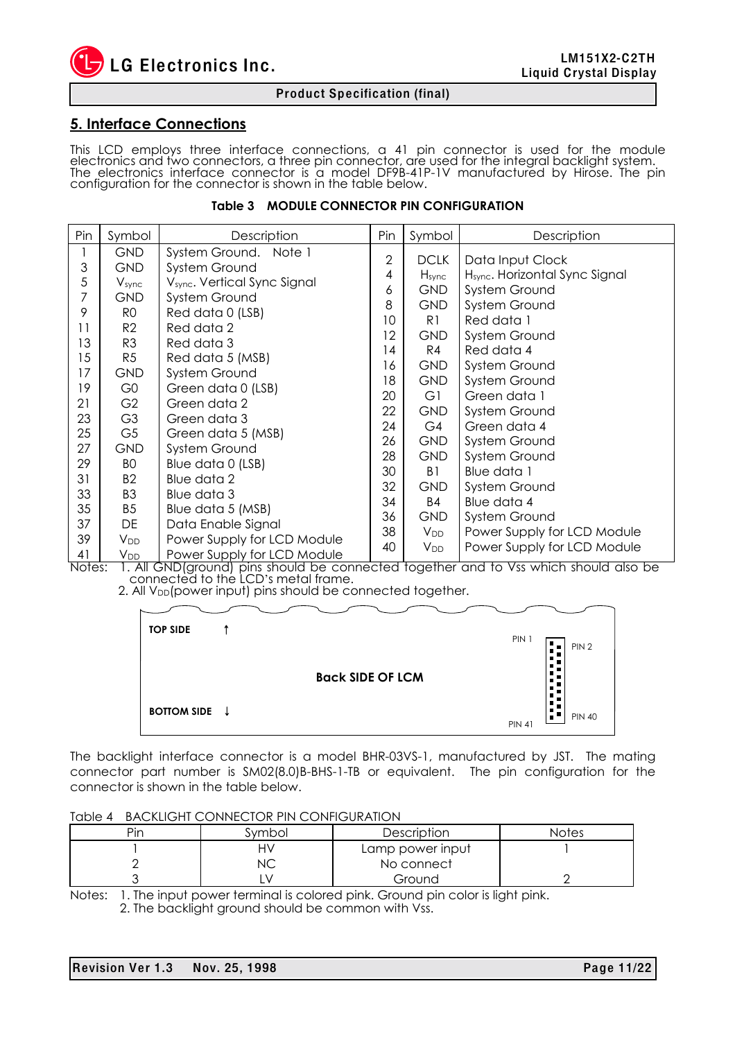

#### **5. Interface Connections**

This LCD employs three interface connections, a 41 pin connector is used for the module electronics and two connectors, a three pin connector, are used for the integral backlight system. The electronics interface connector is a model DF9B-41P-1V manufactured by Hirose. The pin configuration for the connector is shown in the table below.

#### **Table 3 MODULE CONNECTOR PIN CONFIGURATION**

Notes: 1. All GND(ground) pins should be connected together and to Vss which should also be connected to the LCD's metal frame.





The backlight interface connector is a model BHR-03VS-1, manufactured by JST. The mating connector part number is SM02(8.0)B-BHS-1-TB or equivalent. The pin configuration for the connector is shown in the table below.

|  | Table 4 BACKLIGHT CONNECTOR PIN CONFIGURATION |
|--|-----------------------------------------------|
|  |                                               |

| Pin | svmbol       | Description      | Notes |
|-----|--------------|------------------|-------|
|     | НV           | Lamp power input |       |
|     | $\sim$<br>NĆ | No connect       |       |
|     | LV           | Ground           |       |

Notes: 1. The input power terminal is colored pink. Ground pin color is light pink. 2. The backlight ground should be common with Vss.

| <b>Revision Ver 1.3</b> | Nov. 25, 1998 |
|-------------------------|---------------|
|-------------------------|---------------|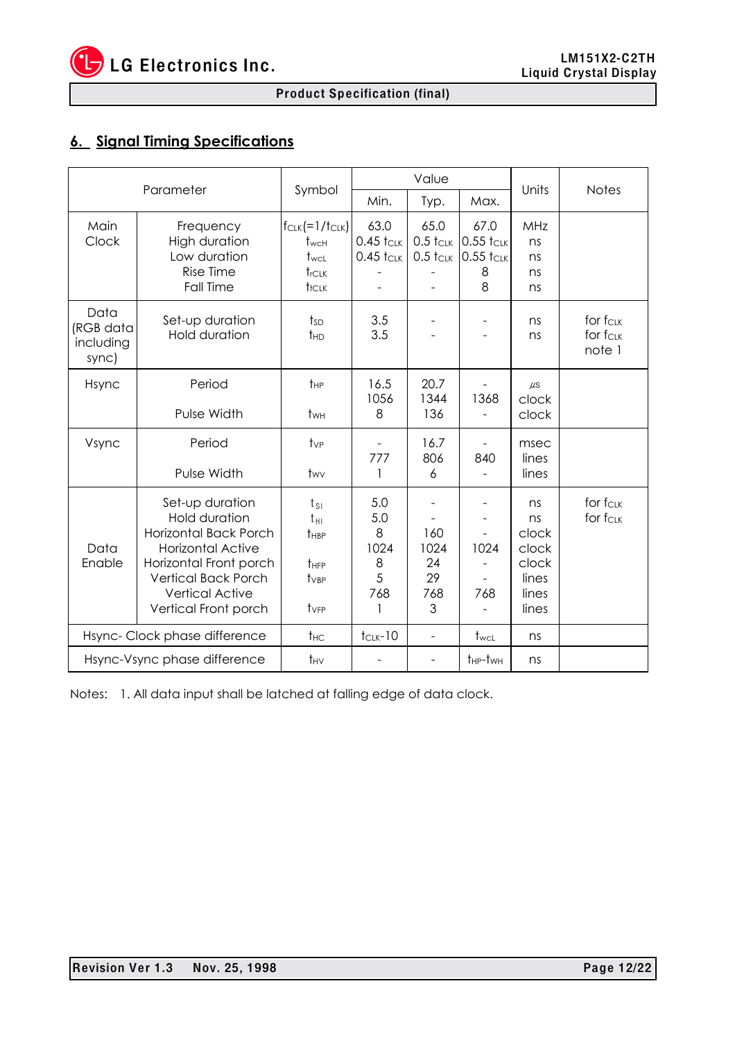

### **6. Signal Timing Specifications**

|                                         | Parameter                                                                                                                                                                                                     |                                                                                             |                                                                | Value                                      |                                                        | Units                                                          | <b>Notes</b>                     |
|-----------------------------------------|---------------------------------------------------------------------------------------------------------------------------------------------------------------------------------------------------------------|---------------------------------------------------------------------------------------------|----------------------------------------------------------------|--------------------------------------------|--------------------------------------------------------|----------------------------------------------------------------|----------------------------------|
|                                         |                                                                                                                                                                                                               | Symbol                                                                                      | Min.                                                           | Typ.                                       | Max.                                                   |                                                                |                                  |
| Main<br>Clock                           | Frequency<br><b>High duration</b><br>Low duration<br><b>Rise Time</b><br>Fall Time                                                                                                                            | $f_{CLK}$ (=1/ $t_{CLK}$ )<br>t <sub>wcH</sub><br>twcl<br>$t_{\rm rCLK}$<br>$t_{\rm fCLK}$  | 63.0<br>$0.45$ $tc$ <sub>LK</sub><br>$0.45$ $tc$ <sub>LK</sub> | 65.0<br>$0.5$ $t_{CLK}$<br>$0.5$ $t_{CLK}$ | 67.0<br>$0.55$ $t_{CLK}$<br>$0.55$ $t_{CLK}$<br>8<br>8 | MHz<br>ns<br>ns<br>ns<br>ns                                    |                                  |
| Data<br>(RGB data<br>including<br>sync) | Set-up duration<br><b>Hold duration</b>                                                                                                                                                                       | $t_{SD}$<br><b>t</b> <sub>HD</sub>                                                          | 3.5<br>3.5                                                     |                                            |                                                        | ns<br>ns                                                       | for fcLK<br>for fcLK<br>note 1   |
| Hsync                                   | Period<br>Pulse Width                                                                                                                                                                                         | $t_{HP}$<br>twh                                                                             | 16.5<br>1056<br>8                                              | 20.7<br>1344<br>136                        | 1368                                                   | $\mu$ s<br>clock<br>clock                                      |                                  |
| Vsync                                   | Period<br>Pulse Width                                                                                                                                                                                         | $t_{VP}$<br>twv                                                                             | 777<br>1                                                       | 16.7<br>806<br>6                           | 840                                                    | msec<br>lines<br>lines                                         |                                  |
| Data<br>Enable                          | Set-up duration<br><b>Hold duration</b><br><b>Horizontal Back Porch</b><br><b>Horizontal Active</b><br>Horizontal Front porch<br><b>Vertical Back Porch</b><br><b>Vertical Active</b><br>Vertical Front porch | $t_{\rm SI}$<br>$t_{\rm HI}$<br><b>THBP</b><br>t <sub>HFP</sub><br>t <sub>VBP</sub><br>tvFP | 5.0<br>5.0<br>8<br>1024<br>8<br>5<br>768<br>1                  | 160<br>1024<br>24<br>29<br>768<br>3        | 1024<br>768<br>$\overline{a}$                          | ns<br>ns<br>clock<br>clock<br>clock<br>lines<br>lines<br>lines | for fcLK<br>for f <sub>CLK</sub> |
|                                         | Hsync- Clock phase difference                                                                                                                                                                                 | $t_{HC}$                                                                                    | $t_{CLK}$ -10                                                  | $\blacksquare$                             | twcl                                                   | ns                                                             |                                  |
|                                         | Hsync-Vsync phase difference                                                                                                                                                                                  | $t_{HV}$                                                                                    |                                                                |                                            | t <sub>HP-twh</sub>                                    | ns                                                             |                                  |

Notes: 1. All data input shall be latched at falling edge of data clock.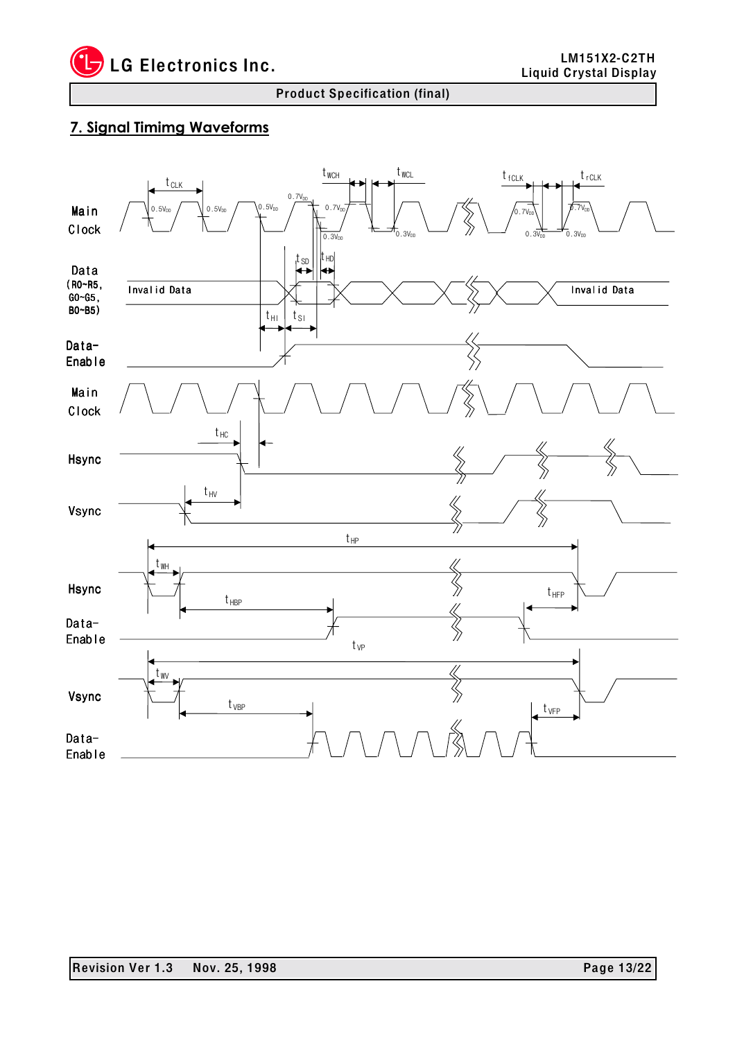

### **7. Signal Timimg Waveforms**

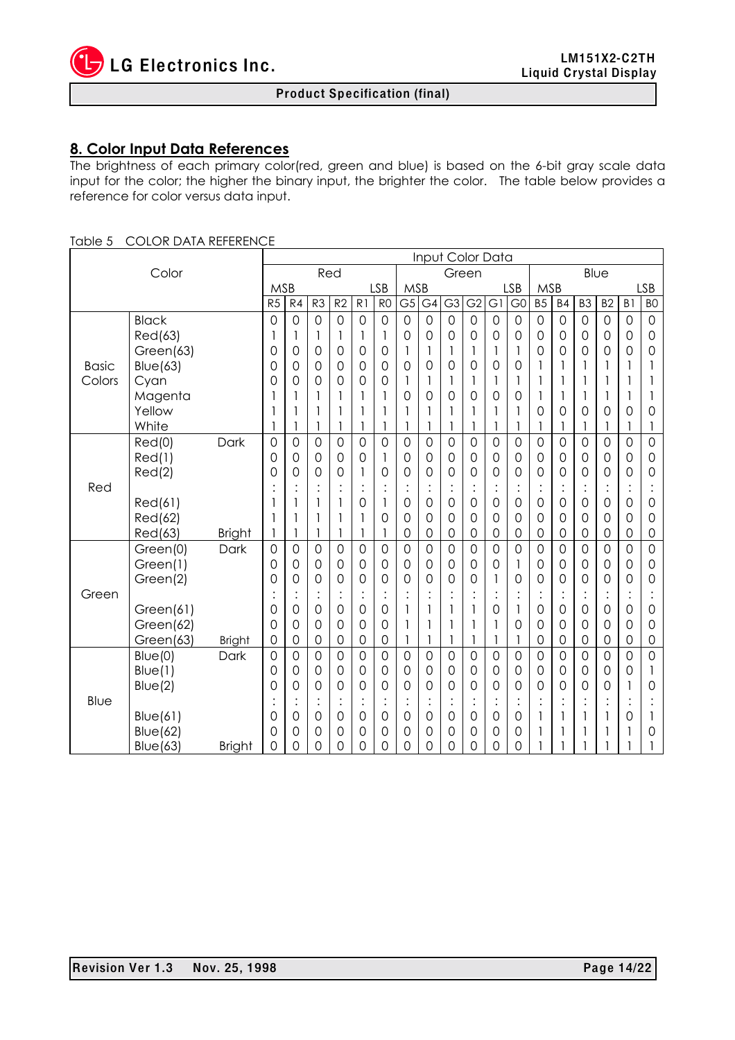

### **8. Color Input Data References**

The brightness of each primary color(red, green and blue) is based on the 6-bit gray scale data input for the color; the higher the binary input, the brighter the color. The table below provides a reference for color versus data input.

|              |                        |               | Input Color Data |                          |                                  |                     |                                  |                  |                              |                          |                |                |                          |                          |                |                |                |                  |                  |                |
|--------------|------------------------|---------------|------------------|--------------------------|----------------------------------|---------------------|----------------------------------|------------------|------------------------------|--------------------------|----------------|----------------|--------------------------|--------------------------|----------------|----------------|----------------|------------------|------------------|----------------|
|              | Red                    |               |                  |                          |                                  |                     |                                  |                  | Green                        |                          |                |                | Blue                     |                          |                |                |                |                  |                  |                |
|              |                        |               |                  | <b>MSB</b>               |                                  |                     | <b>LSB</b><br><b>MSB</b>         |                  |                              | <b>LSB</b>               |                |                | <b>MSB</b>               |                          |                |                |                | <b>LSB</b>       |                  |                |
|              |                        |               | R5               | R4                       | R <sub>3</sub>                   | R <sub>2</sub>      | R <sub>1</sub>                   | R <sub>0</sub>   | G <sub>5</sub>               | G4                       | G <sub>3</sub> | G <sub>2</sub> | G <sub>1</sub>           | G <sub>0</sub>           | <b>B5</b>      | <b>B4</b>      | B <sub>3</sub> | B <sub>2</sub>   | B <sub>1</sub>   | B <sub>O</sub> |
|              | <b>Black</b>           |               | 0                | $\mathbf 0$              | $\mathbf 0$                      | $\mathbf 0$         | 0                                | 0                | $\mathbf 0$                  | $\mathbf 0$              | $\mathbf 0$    | $\mathbf 0$    | $\mathbf 0$              | $\mathbf 0$              | $\mathbf 0$    | 0              | $\mathbf 0$    | $\mathbf 0$      | $\mathbf 0$      | 0              |
|              | Red(63)                |               |                  | 1                        | 1                                | 1                   | 1                                |                  | 0                            | 0                        | $\mathbf 0$    | $\mathbf 0$    | 0                        | 0                        | 0              | 0              | 0              | $\mathbf 0$      | 0                | 0              |
|              | Green(63)              |               | 0                | 0                        | 0                                | $\mathsf{O}\xspace$ | 0                                | 0                | $\mathbf{1}$                 | 1                        | 1              | 1              | 1                        | 1                        | 0              | 0              | $\Omega$       | 0                | 0                | $\Omega$       |
| <b>Basic</b> | Blue(63)               |               | 0                | 0                        | 0                                | 0                   | 0                                | 0                | 0                            | 0                        | $\mathbf 0$    | 0              | 0                        | 0                        |                | 1              |                |                  |                  |                |
| Colors       | Cyan                   |               | 0                | 0                        | 0                                | $\mathbf 0$         | 0                                | 0                | 1                            | 1                        |                |                |                          | 1                        | 1              | 1              |                |                  | 1                |                |
|              | Magenta                |               |                  | 1                        | 1                                | 1                   |                                  |                  | 0                            | 0                        | $\mathbf 0$    | 0              | 0                        | 0                        | 1              | 1              |                | 1                | 1                |                |
|              | Yellow                 |               |                  |                          | 1                                | 1                   |                                  |                  | 1                            | 1                        |                |                |                          | 1                        | 0              | 0              | 0              | 0                | 0                | 0              |
|              | White                  |               |                  | 1                        | 1                                | 1                   |                                  |                  | 1                            | 1                        |                |                |                          | 1                        | 1              | 1              |                |                  | 1                |                |
|              | Red(0)                 | Dark          | $\overline{0}$   | 0                        | $\overline{0}$                   | $\overline{0}$      | $\overline{0}$                   | 0                | 0                            | $\overline{O}$           | $\mathbf 0$    | $\mathbf 0$    | $\mathbf 0$              | $\overline{O}$           | $\overline{0}$ | $\mathbf 0$    | $\overline{0}$ | $\mathbf 0$      | $\overline{0}$   | $\overline{0}$ |
|              | Red(1)                 |               | 0                | $\mathbf 0$              | $\mathbf 0$                      | $\mathbf 0$         | 0                                |                  | 0                            | $\mathbf 0$              | $\mathbf 0$    | 0              | 0                        | 0                        | 0              | 0              | 0              | $\mathbf 0$      | 0                | 0              |
|              | Red(2)                 |               | 0                | 0                        | 0                                | $\mathbf 0$         |                                  | 0                | 0                            | 0                        | $\mathbf 0$    | 0              | $\mathbf 0$              | 0                        | 0              | 0              | 0              | 0                | 0                | 0              |
| Red          |                        |               |                  |                          |                                  | ٠<br>$\bullet$      | $\bullet$                        |                  | $\ddot{\cdot}$               | $\ddot{\phantom{a}}$     | $\vdots$       | $\bullet$      |                          | $\bullet$                | $\ddot{\cdot}$ | $\vdots$       |                |                  | $\bullet$        |                |
|              | Red(61)                |               |                  | 1                        | 1                                | 1                   | 0                                |                  | 0                            | 0                        | $\mathbf 0$    | $\mathbf 0$    | $\mathbf 0$              | $\mathbf 0$              | $\mathbf 0$    | 0              | 0              | $\mathbf 0$      | 0                | 0              |
|              | Red(62)                |               |                  | 1                        | 1                                | 1                   |                                  | 0                | 0                            | 0                        | $\mathbf 0$    | 0              | 0                        | 0                        | 0              | 0              | 0              | 0                | 0                | 0              |
|              | Red(63)                | <b>Bright</b> |                  | $\mathsf{I}$             | 1                                | 1                   |                                  |                  | $\mathbf 0$                  | $\mathbf 0$              | $\mathbf 0$    | $\mathbf 0$    | $\mathbf 0$              | $\mathbf 0$              | $\mathbf 0$    | $\mathsf O$    | 0              | 0                | $\mathbf 0$      | 0              |
|              | Green(0)               | Dark          | 0                | 0                        | $\overline{0}$                   | $\mathbf 0$         | $\overline{O}$                   | $\mathbf 0$      | 0                            | $\overline{0}$           | $\overline{O}$ | $\overline{0}$ | $\overline{O}$           | 0                        | 0              | $\mathbf 0$    | $\overline{O}$ | $\mathbf 0$      | 0                | $\overline{O}$ |
|              | Green(1)               |               | 0                | 0                        | $\Omega$                         | 0                   | 0                                | 0                | 0                            | $\Omega$                 | 0              | 0              | 0                        | 1                        | 0              | 0              | 0              | 0                | 0                | 0              |
|              | Green(2)               |               | 0                | 0                        | 0                                | 0                   | 0                                | 0                | 0                            | 0                        | $\mathbf 0$    | 0              | 1                        | 0                        | 0              | 0              | 0              | 0                | 0                | 0              |
| Green        |                        |               |                  |                          |                                  | :                   |                                  |                  |                              |                          |                |                |                          |                          |                | $\vdots$       |                |                  | $\ddot{\cdot}$   |                |
|              | Green(61)              |               | 0                | 0                        | 0<br>0                           | 0<br>$\mathbf 0$    | 0                                | 0<br>$\mathbf 0$ | $\mathsf{I}$<br>$\mathbf{1}$ | 1<br>1                   |                |                | 0                        | 1                        | 0              | 0<br>0         | 0              | 0                | 0                | 0              |
|              | Green(62)<br>Green(63) | <b>Bright</b> | 0<br>0           | 0<br>$\mathsf{O}\xspace$ | 0                                | $\mathbf 0$         | 0<br>0                           | $\mathbf 0$      | $\mathbf{I}$                 | 1                        | 1              | 1              | 1                        | 0<br>1                   | 0<br>0         | 0              | 0<br>0         | 0<br>$\mathbf 0$ | 0<br>$\mathbf 0$ | 0<br>0         |
|              | Blue(0)                | Dark          | 0                | 0                        | $\mathbf 0$                      | $\mathbf 0$         | 0                                | $\mathbf 0$      | 0                            | 0                        | 0              | $\mathbf 0$    | $\mathbf 0$              | 0                        | 0              | 0              | $\overline{0}$ | 0                | 0                | 0              |
|              | Blue(1)                |               | 0                | 0                        | 0                                | 0                   | 0                                | 0                | 0                            | 0                        | $\mathbf 0$    | 0              | 0                        | 0                        | 0              | 0              | 0              | 0                | 0                |                |
|              | Blue(2)                |               | 0                | 0                        | $\Omega$                         | 0                   | 0                                | 0                | 0                            | 0                        | 0              | 0              | 0                        | 0                        | 0              | 0              | 0              | 0                |                  | O              |
| Blue         |                        |               |                  |                          |                                  | $\vdots$            |                                  |                  | $\ddot{\cdot}$               |                          | $\vdots$       | $\vdots$       |                          |                          |                |                |                |                  |                  |                |
|              | Blue(61)               |               | 0                | 0                        | $\bullet$<br>$\mathsf{O}\xspace$ | $\mathsf{O}\xspace$ | $\bullet$<br>$\mathsf{O}\xspace$ | $\mathbf 0$      | 0                            | $\bullet$<br>$\mathbf 0$ | $\mathsf O$    | 0              | $\bullet$<br>$\mathbf 0$ | $\bullet$<br>$\mathbf 0$ | 1              | $\bullet$<br>1 |                |                  | $\bullet$<br>0   |                |
|              | Blue(62)               |               | 0                | 0                        | 0                                | 0                   | 0                                | 0                | 0                            | 0                        | 0              | $\mathbf 0$    | 0                        | 0                        |                | 1              |                |                  |                  | 0              |
|              | Blue(63)               | <b>Bright</b> | 0                | 0                        | 0                                | 0                   | 0                                | 0                | 0                            | 0                        | 0              | 0              | 0                        | 0                        |                |                |                |                  |                  |                |

#### Table 5 COLOR DATA REFERENCE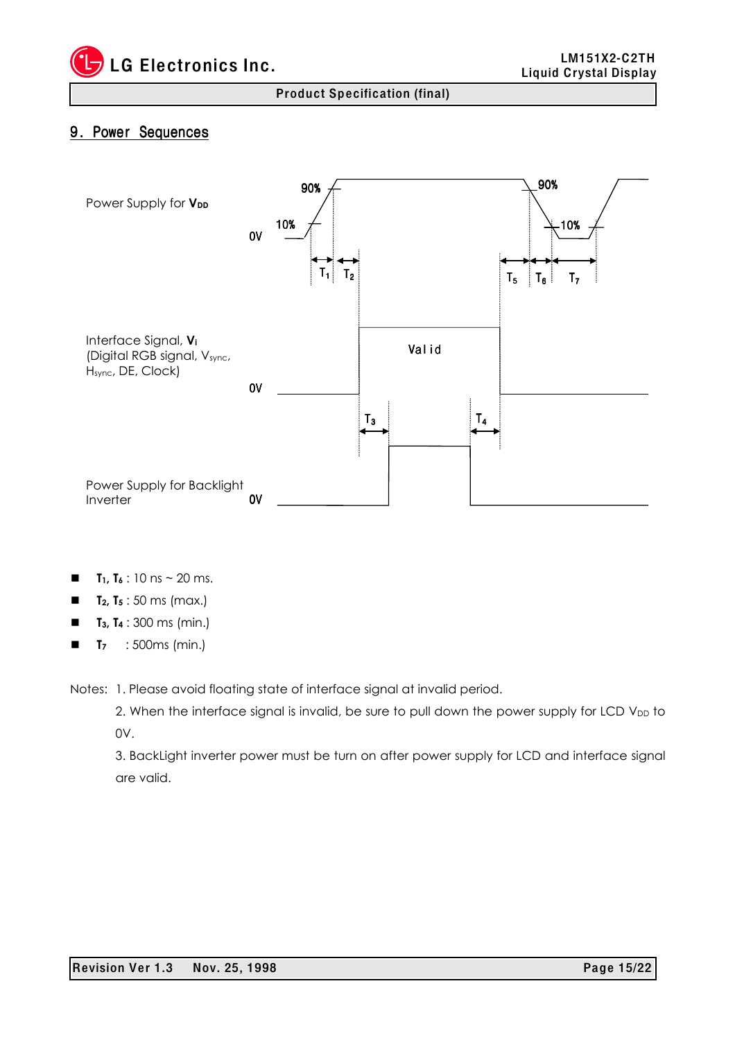

### 9. Power Sequences



- **T**<sub>1</sub>, **T<sub>6</sub>** : 10 ns  $\sim$  20 ms.
- **T**<sub>2</sub>, **T**<sub>5</sub> : 50 ms (max.)
- $\blacksquare$  **T<sub>3</sub>**, **T<sub>4</sub>** : 300 ms (min.)
- $\blacksquare$  **T**<sub>7</sub> : 500ms (min.)

Notes: 1. Please avoid floating state of interface signal at invalid period.

2. When the interface signal is invalid, be sure to pull down the power supply for LCD  $V_{DD}$  to 0V.

3. BackLight inverter power must be turn on after power supply for LCD and interface signal are valid.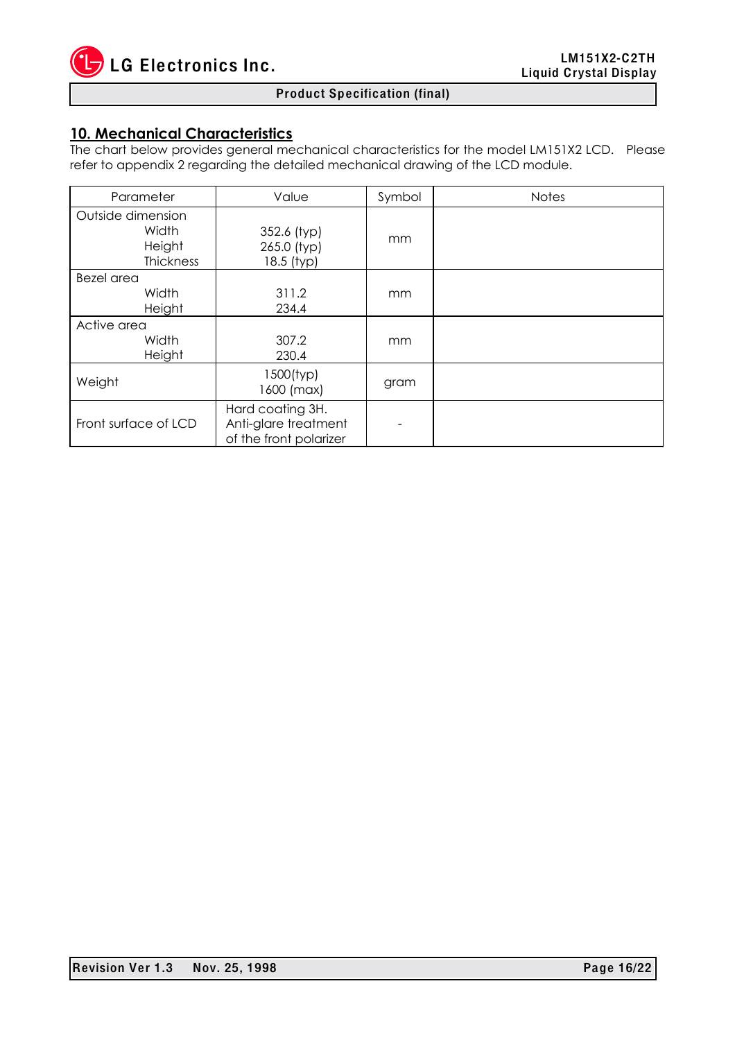

### **10. Mechanical Characteristics**

The chart below provides general mechanical characteristics for the model LM151X2 LCD. Please refer to appendix 2 regarding the detailed mechanical drawing of the LCD module.

| Parameter                                                | Value                                                              | Symbol | <b>Notes</b> |
|----------------------------------------------------------|--------------------------------------------------------------------|--------|--------------|
| Outside dimension<br>Width<br>Height<br><b>Thickness</b> | 352.6 (typ)<br>265.0 (typ)<br>18.5 (typ)                           | mm     |              |
| Bezel area<br>Width<br>Height                            | 311.2<br>234.4                                                     | mm     |              |
| Active area<br>Width<br>Height                           | 307.2<br>230.4                                                     | mm     |              |
| Weight                                                   | $1500$ (typ)<br>1600 (max)                                         | gram   |              |
| Front surface of LCD                                     | Hard coating 3H.<br>Anti-glare treatment<br>of the front polarizer |        |              |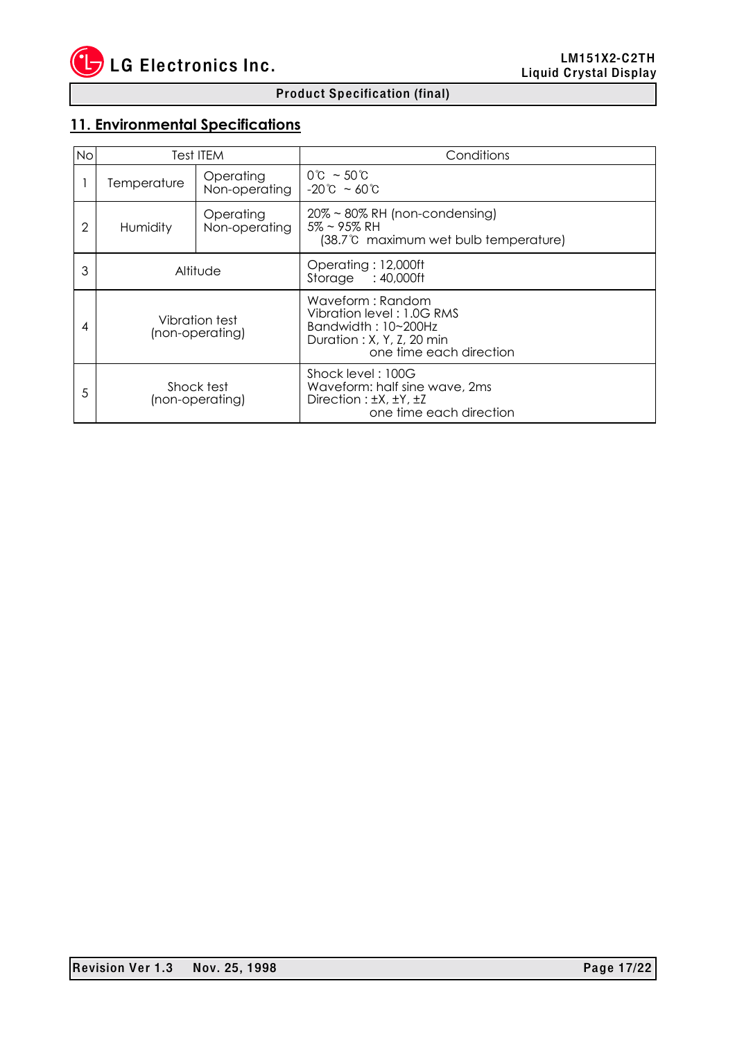

### **11. Environmental Specifications**

| <b>No</b>      |             | Test ITEM                         | Conditions                                                                                                                       |  |  |  |  |
|----------------|-------------|-----------------------------------|----------------------------------------------------------------------------------------------------------------------------------|--|--|--|--|
|                | Temperature | Operating<br>Non-operating        | $0^{\circ}$ ~ 50 $^{\circ}$ C<br>$-20^{\circ}C \sim 60^{\circ}C$                                                                 |  |  |  |  |
| $\overline{2}$ | Humidity    | Operating<br>Non-operating        | $20\% \sim 80\%$ RH (non-condensing)<br>$5\% \sim 95\%$ RH<br>(38.7°C maximum wet bulb temperature)                              |  |  |  |  |
| 3              |             | Altitude                          | Operating: 12,000ft<br>Storage : 40,000ft                                                                                        |  |  |  |  |
| 4              |             | Vibration test<br>(non-operating) | Waveform : Random<br>Vibration level: 1.0G RMS<br>Bandwidth: $10-200$ Hz<br>Duration: X, Y, Z, 20 min<br>one time each direction |  |  |  |  |
| 5              |             | Shock test<br>(non-operating)     | Shock level: 100G<br>Waveform: half sine wave, 2ms<br>Direction : $\pm X$ , $\pm Y$ , $\pm Z$<br>one time each direction         |  |  |  |  |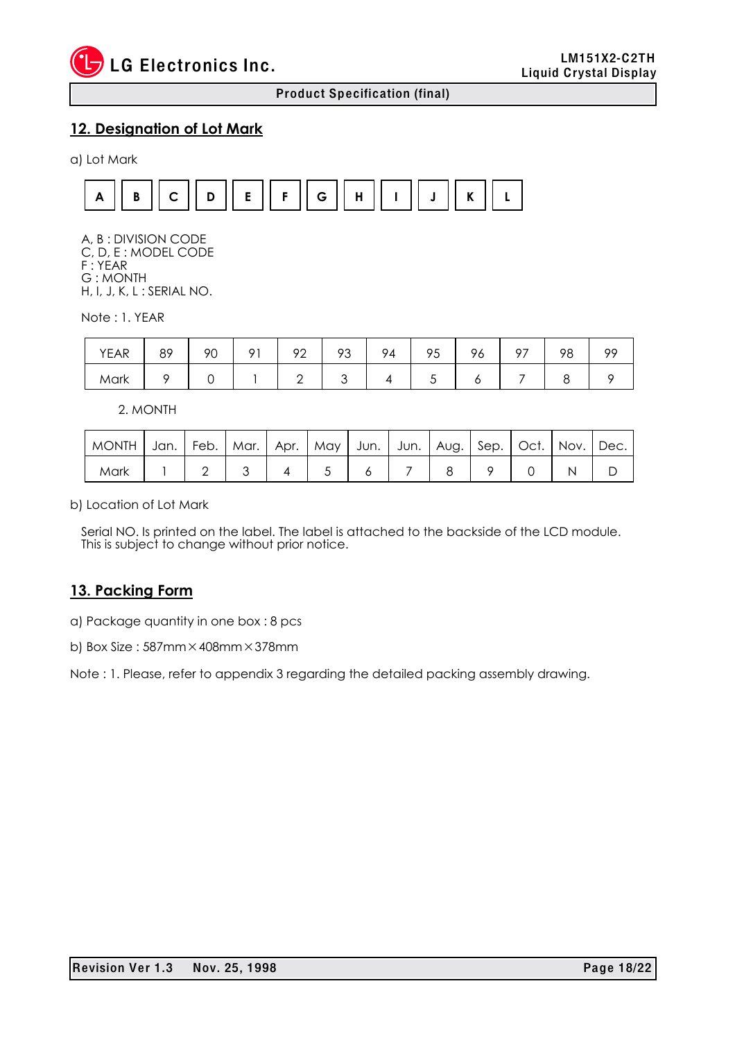

### **12. Designation of Lot Mark**

a) Lot Mark



A, B : DIVISION CODE C, D, E : MODEL CODE F : YEAR G : MONTH H, I, J, K, L : SERIAL NO.

Note : 1. YEAR

| <b>YEAR</b> | 89 | 90<br>ັ | ററ<br><u>_</u> | 93 | 94 | 95 | $\sim$<br>ັ | 98 | o٥ |
|-------------|----|---------|----------------|----|----|----|-------------|----|----|
| Mark        |    |         |                |    |    |    |             |    |    |

2. MONTH

| MONTH <sub>1</sub> |  |  | Jan.   Feb.   Mar.   Apr.   May   Jun.   Jun.   Aug.   Sep.   Oct.   Nov. |  |  |  | Dec. |
|--------------------|--|--|---------------------------------------------------------------------------|--|--|--|------|
| Mark               |  |  |                                                                           |  |  |  |      |

b) Location of Lot Mark

Serial NO. Is printed on the label. The label is attached to the backside of the LCD module. This is subject to change without prior notice.

### **13. Packing Form**

a) Package quantity in one box : 8 pcs

b) Box Size : 587mm×408mm×378mm

Note : 1. Please, refer to appendix 3 regarding the detailed packing assembly drawing.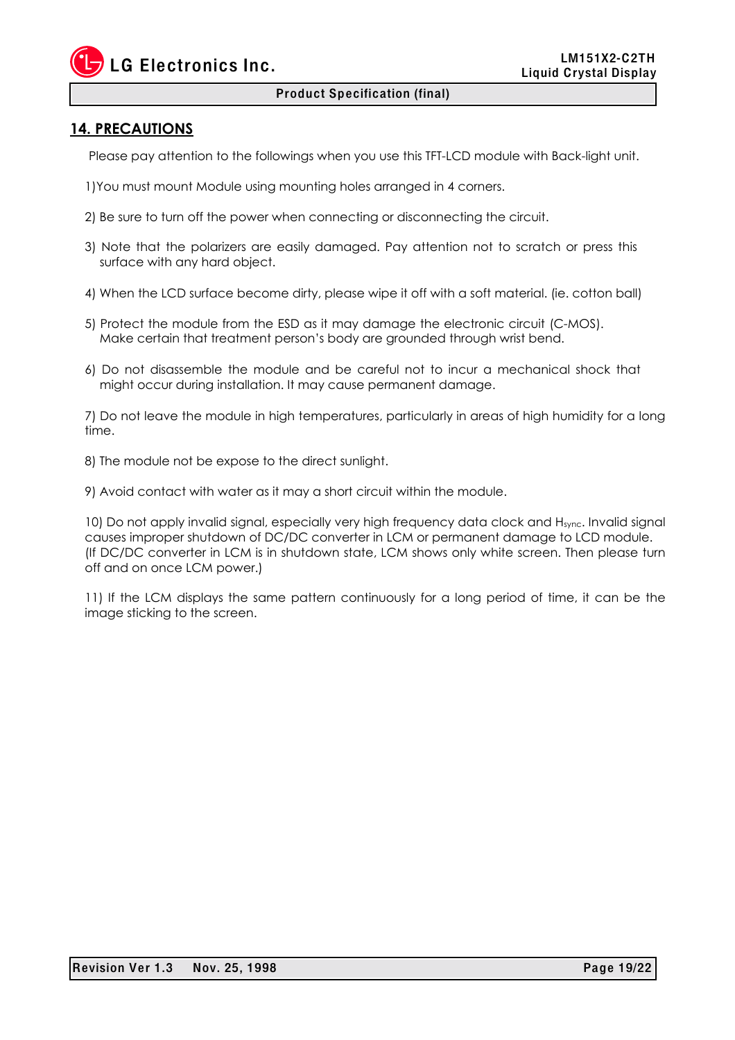LG Electronics Inc. **LG Electronics** Inc.

#### Product Specification (final)

### **14. PRECAUTIONS**

Please pay attention to the followings when you use this TFT-LCD module with Back-light unit.

- 1)You must mount Module using mounting holes arranged in 4 corners.
- 2) Be sure to turn off the power when connecting or disconnecting the circuit.
- 3) Note that the polarizers are easily damaged. Pay attention not to scratch or press this surface with any hard object.
- 4) When the LCD surface become dirty, please wipe it off with a soft material. (ie. cotton ball)
- 5) Protect the module from the ESD as it may damage the electronic circuit (C-MOS). Make certain that treatment person's body are grounded through wrist bend.
- 6) Do not disassemble the module and be careful not to incur a mechanical shock that might occur during installation. It may cause permanent damage.

7) Do not leave the module in high temperatures, particularly in areas of high humidity for a long time.

8) The module not be expose to the direct sunlight.

9) Avoid contact with water as it may a short circuit within the module.

10) Do not apply invalid signal, especially very high frequency data clock and Hsync. Invalid signal causes improper shutdown of DC/DC converter in LCM or permanent damage to LCD module. (If DC/DC converter in LCM is in shutdown state, LCM shows only white screen. Then please turn off and on once LCM power.)

11) If the LCM displays the same pattern continuously for a long period of time, it can be the image sticking to the screen.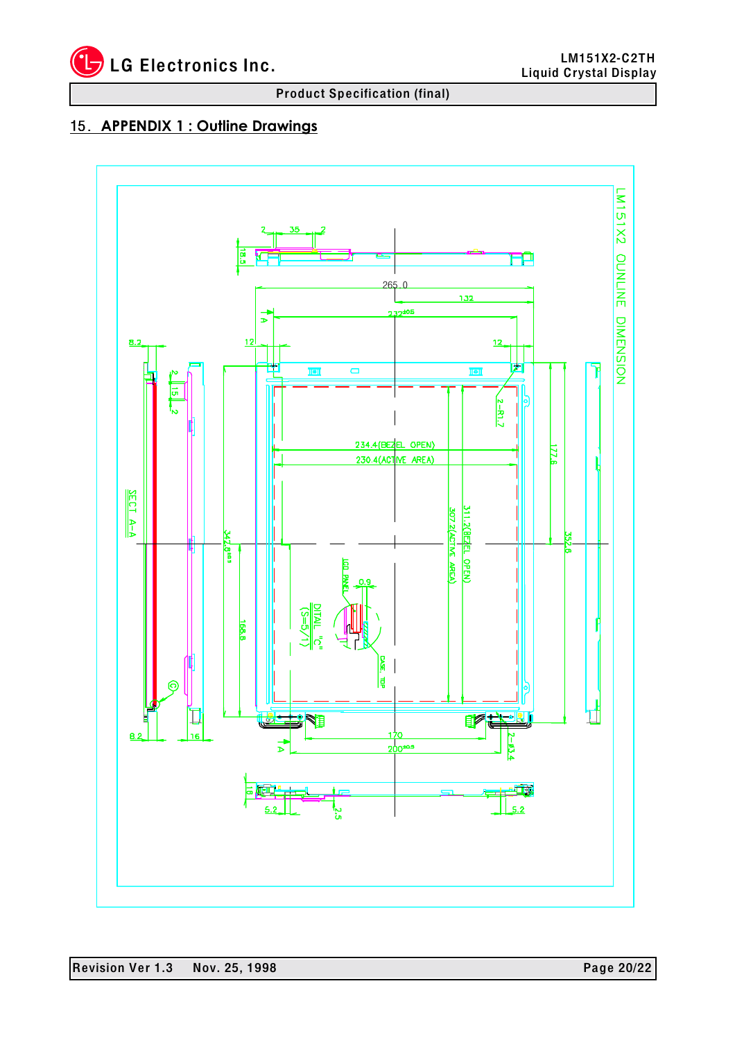

### 15. **APPENDIX 1 : Outline Drawings**

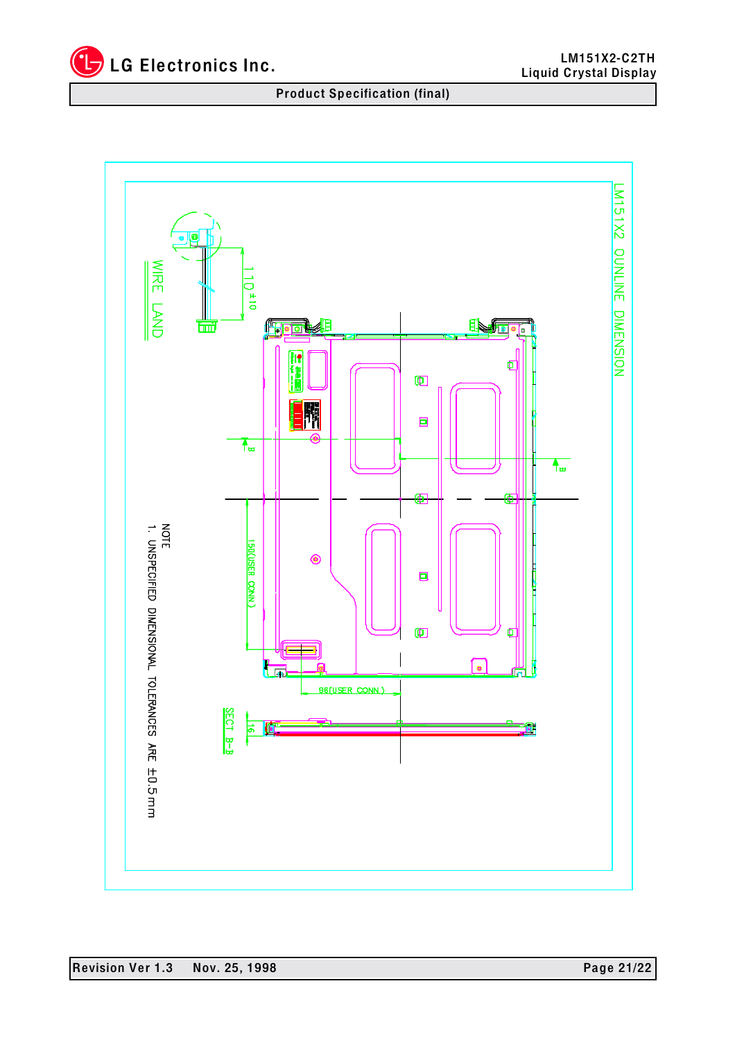

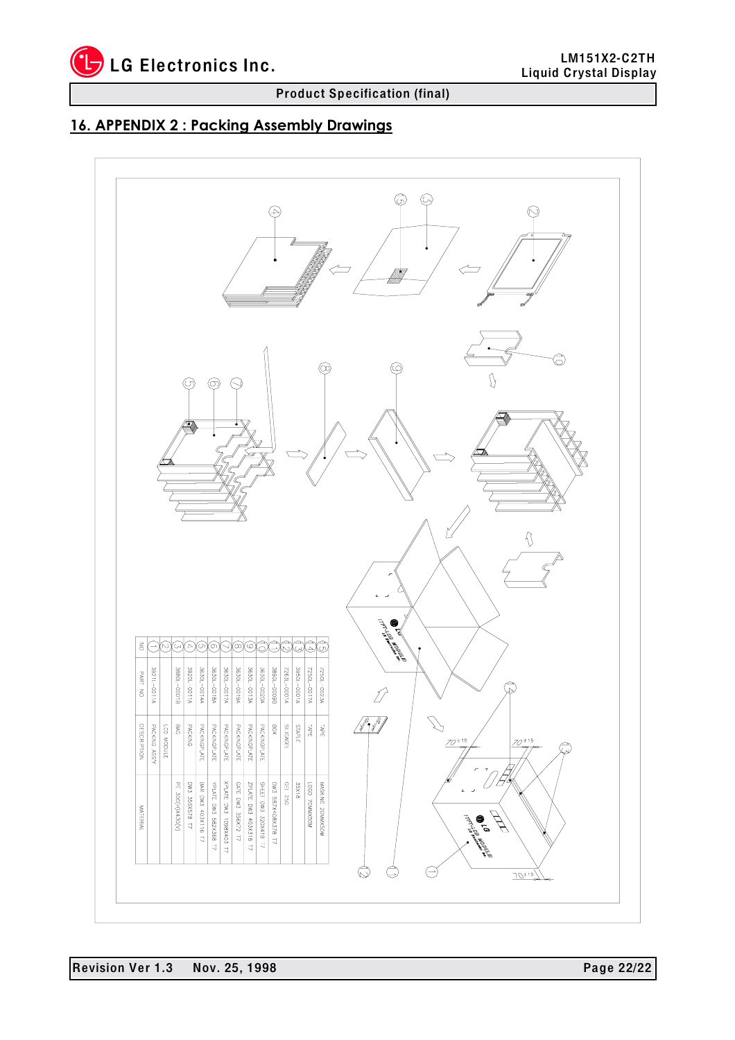

### **16. APPENDIX 2 : Packing Assembly Drawings**